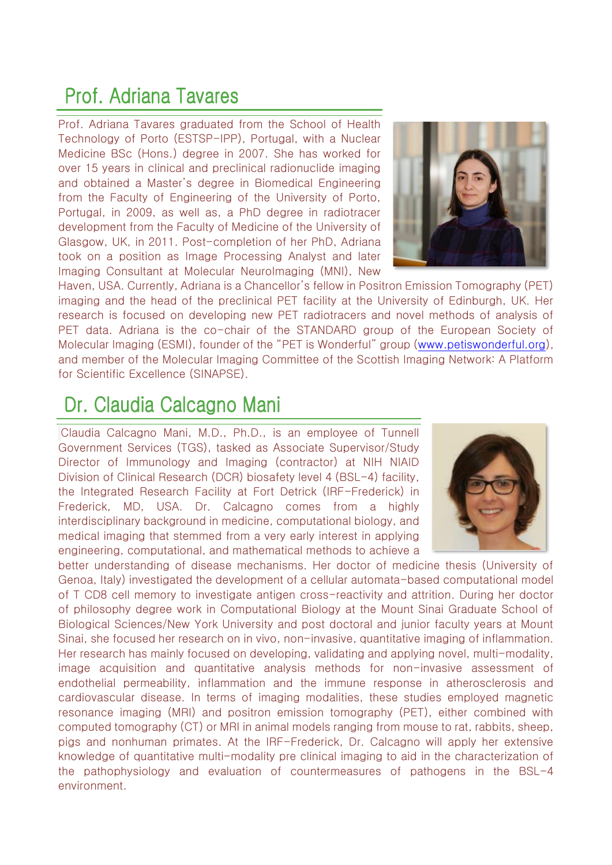#### Prof. Adriana Tavares

Prof. Adriana Tavares graduated from the School of Health Technology of Porto (ESTSP-IPP), Portugal, with a Nuclear Medicine BSc (Hons.) degree in 2007. She has worked for over 15 years in clinical and preclinical radionuclide imaging and obtained a Master's degree in Biomedical Engineering from the Faculty of Engineering of the University of Porto, Portugal, in 2009, as well as, a PhD degree in radiotracer development from the Faculty of Medicine of the University of Glasgow, UK, in 2011. Post-completion of her PhD, Adriana took on a position as Image Processing Analyst and later Imaging Consultant at Molecular NeuroImaging (MNI), New



Haven, USA. Currently, Adriana is a Chancellor's fellow in Positron Emission Tomography (PET) imaging and the head of the preclinical PET facility at the University of Edinburgh, UK. Her research is focused on developing new PET radiotracers and novel methods of analysis of PET data. Adriana is the co-chair of the STANDARD group of the European Society of Molecular Imaging (ESMI), founder of the "PET is Wonderful" group ([www.petiswonderful.org\)](http://www.petiswonderful.org/), and member of the Molecular Imaging Committee of the Scottish Imaging Network: A Platform for Scientific Excellence (SINAPSE).

#### Dr. Claudia Calcagno Mani

Claudia Calcagno Mani, M.D., Ph.D., is an employee of Tunnell Government Services (TGS), tasked as Associate Supervisor/Study Director of Immunology and Imaging (contractor) at NIH NIAID Division of Clinical Research (DCR) biosafety level 4 (BSL-4) facility, the Integrated Research Facility at Fort Detrick (IRF-Frederick) in Frederick, MD, USA. Dr. Calcagno comes from a highly interdisciplinary background in medicine, computational biology, and medical imaging that stemmed from a very early interest in applying engineering, computational, and mathematical methods to achieve a



better understanding of disease mechanisms. Her doctor of medicine thesis (University of Genoa, Italy) investigated the development of a cellular automata-based computational model of T CD8 cell memory to investigate antigen cross-reactivity and attrition. During her doctor of philosophy degree work in Computational Biology at the Mount Sinai Graduate School of Biological Sciences/New York University and post doctoral and junior faculty years at Mount Sinai, she focused her research on in vivo, non-invasive, quantitative imaging of inflammation. Her research has mainly focused on developing, validating and applying novel, multi-modality, image acquisition and quantitative analysis methods for non-invasive assessment of endothelial permeability, inflammation and the immune response in atherosclerosis and cardiovascular disease. In terms of imaging modalities, these studies employed magnetic resonance imaging (MRI) and positron emission tomography (PET), either combined with computed tomography (CT) or MRI in animal models ranging from mouse to rat, rabbits, sheep, pigs and nonhuman primates. At the IRF-Frederick, Dr. Calcagno will apply her extensive knowledge of quantitative multi-modality pre clinical imaging to aid in the characterization of the pathophysiology and evaluation of countermeasures of pathogens in the BSL-4 environment.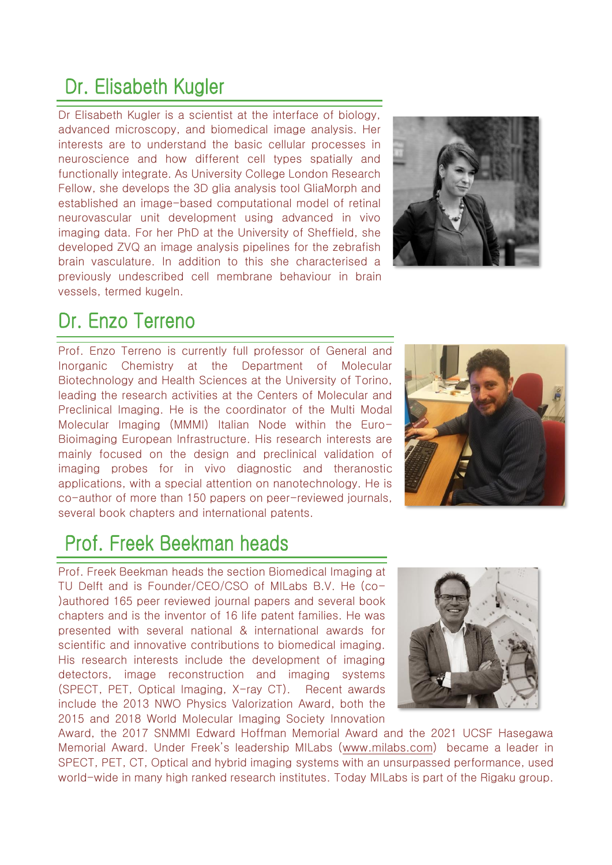# Dr. Elisabeth Kugler

Dr Elisabeth Kugler is a scientist at the interface of biology, advanced microscopy, and biomedical image analysis. Her interests are to understand the basic cellular processes in neuroscience and how different cell types spatially and functionally integrate. As University College London Research Fellow, she develops the 3D glia analysis tool GliaMorph and established an image-based computational model of retinal neurovascular unit development using advanced in vivo imaging data. For her PhD at the University of Sheffield, she developed ZVQ an image analysis pipelines for the zebrafish brain vasculature. In addition to this she characterised a previously undescribed cell membrane behaviour in brain vessels, termed kugeln.



# Dr. Enzo Terreno

Prof. Enzo Terreno is currently full professor of General and Inorganic Chemistry at the Department of Molecular Biotechnology and Health Sciences at the University of Torino, leading the research activities at the Centers of Molecular and Preclinical Imaging. He is the coordinator of the Multi Modal Molecular Imaging (MMMI) Italian Node within the Euro-Bioimaging European Infrastructure. His research interests are mainly focused on the design and preclinical validation of imaging probes for in vivo diagnostic and theranostic applications, with a special attention on nanotechnology. He is co-author of more than 150 papers on peer-reviewed journals, several book chapters and international patents.



### Prof. Freek Beekman heads

Prof. Freek Beekman heads the section Biomedical Imaging at TU Delft and is Founder/CEO/CSO of MILabs B.V. He (co- )authored 165 peer reviewed journal papers and several book chapters and is the inventor of 16 life patent families. He was presented with several national & international awards for scientific and innovative contributions to biomedical imaging. His research interests include the development of imaging detectors, image reconstruction and imaging systems (SPECT, PET, Optical Imaging, X-ray CT). Recent awards include the 2013 NWO Physics Valorization Award, both the 2015 and 2018 World Molecular Imaging Society Innovation



Award, the 2017 SNMMI Edward Hoffman Memorial Award and the 2021 UCSF Hasegawa Memorial Award. Under Freek's leadership MILabs ([www.milabs.com\)](https://eur03.safelinks.protection.outlook.com/?url=http%3A%2F%2Fwww.milabs.com%2F&data=04%7C01%7Ce.dimasso%40assing.it%7C995e18c023f24fd95fea08da004574fb%7C0a18d0d1e8a141d09a95d3c43f8ecb99%7C0%7C0%7C637822595693576035%7CUnknown%7CTWFpbGZsb3d8eyJWIjoiMC4wLjAwMDAiLCJQIjoiV2luMzIiLCJBTiI6Ik1haWwiLCJXVCI6Mn0%3D%7C3000&sdata=qVbF4rOD0Z9TRWSYWyJv%2BpQGA0KjVQCjvxNft1Cc154%3D&reserved=0) became a leader in SPECT, PET, CT, Optical and hybrid imaging systems with an unsurpassed performance, used world-wide in many high ranked research institutes. Today MILabs is part of the Rigaku group.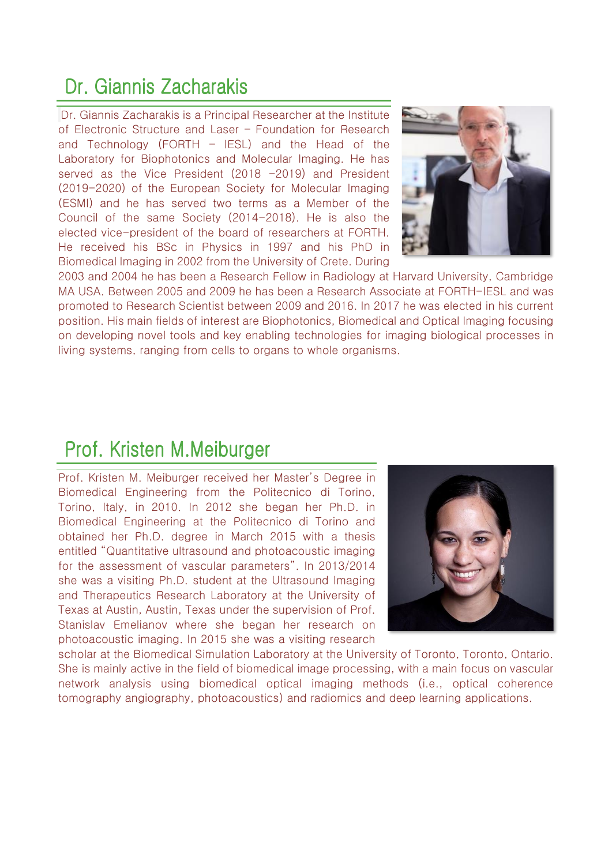#### Dr. Giannis Zacharakis

Dr. Giannis Zacharakis is a Principal Researcher at the Institute of Electronic Structure and Laser – Foundation for Research and Technology (FORTH – IESL) and the Head of the Laboratory for Biophotonics and Molecular Imaging. He has served as the Vice President (2018 -2019) and President (2019-2020) of the European Society for Molecular Imaging (ESMI) and he has served two terms as a Member of the Council of the same Society (2014-2018). He is also the elected vice-president of the board of researchers at FORTH. He received his BSc in Physics in 1997 and his PhD in Biomedical Imaging in 2002 from the University of Crete. During



2003 and 2004 he has been a Research Fellow in Radiology at Harvard University, Cambridge MA USA. Between 2005 and 2009 he has been a Research Associate at FORTH-IESL and was promoted to Research Scientist between 2009 and 2016. In 2017 he was elected in his current position. His main fields of interest are Biophotonics, Biomedical and Optical Imaging focusing on developing novel tools and key enabling technologies for imaging biological processes in living systems, ranging from cells to organs to whole organisms.

#### Prof. Kristen M.Meiburger

Prof. Kristen M. Meiburger received her Master's Degree in Biomedical Engineering from the Politecnico di Torino, Torino, Italy, in 2010. In 2012 she began her Ph.D. in Biomedical Engineering at the Politecnico di Torino and obtained her Ph.D. degree in March 2015 with a thesis entitled "Quantitative ultrasound and photoacoustic imaging for the assessment of vascular parameters". In 2013/2014 she was a visiting Ph.D. student at the Ultrasound Imaging and Therapeutics Research Laboratory at the University of Texas at Austin, Austin, Texas under the supervision of Prof. Stanislav Emelianov where she began her research on photoacoustic imaging. In 2015 she was a visiting research



scholar at the Biomedical Simulation Laboratory at the University of Toronto, Toronto, Ontario. She is mainly active in the field of biomedical image processing, with a main focus on vascular network analysis using biomedical optical imaging methods (i.e., optical coherence tomography angiography, photoacoustics) and radiomics and deep learning applications.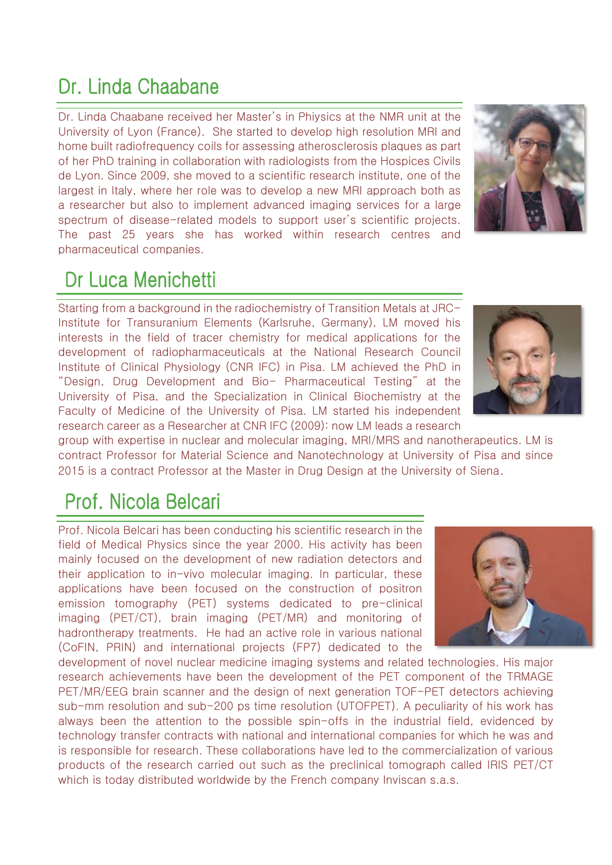# Dr. Linda Chaabane

Dr. Linda Chaabane received her Master's in Phiysics at the NMR unit at the University of Lyon (France). She started to develop high resolution MRI and home built radiofrequency coils for assessing atherosclerosis plaques as part of her PhD training in collaboration with radiologists from the Hospices Civils de Lyon. Since 2009, she moved to a scientific research institute, one of the largest in Italy, where her role was to develop a new MRI approach both as a researcher but also to implement advanced imaging services for a large spectrum of disease-related models to support user's scientific projects. The past 25 years she has worked within research centres and pharmaceutical companies.



## Dr Luca Menichetti

Starting from a background in the radiochemistry of Transition Metals at JRC-Institute for Transuranium Elements (Karlsruhe, Germany), LM moved his interests in the field of tracer chemistry for medical applications for the development of radiopharmaceuticals at the National Research Council Institute of Clinical Physiology (CNR IFC) in Pisa. LM achieved the PhD in "Design, Drug Development and Bio- Pharmaceutical Testing" at the University of Pisa, and the Specialization in Clinical Biochemistry at the Faculty of Medicine of the University of Pisa. LM started his independent research career as a Researcher at CNR IFC (2009): now LM leads a research



group with expertise in nuclear and molecular imaging, MRI/MRS and nanotherapeutics. LM is contract Professor for Material Science and Nanotechnology at University of Pisa and since 2015 is a contract Professor at the Master in Drug Design at the University of Siena.

# Prof. Nicola Belcari

Prof. Nicola Belcari has been conducting his scientific research in the field of Medical Physics since the year 2000. His activity has been mainly focused on the development of new radiation detectors and their application to in-vivo molecular imaging. In particular, these applications have been focused on the construction of positron emission tomography (PET) systems dedicated to pre-clinical imaging (PET/CT), brain imaging (PET/MR) and monitoring of hadrontherapy treatments. He had an active role in various national (CoFIN, PRIN) and international projects (FP7) dedicated to the



development of novel nuclear medicine imaging systems and related technologies. His major research achievements have been the development of the PET component of the TRMAGE PET/MR/EEG brain scanner and the design of next generation TOF-PET detectors achieving sub-mm resolution and sub-200 ps time resolution (UTOFPET). A peculiarity of his work has always been the attention to the possible spin-offs in the industrial field, evidenced by technology transfer contracts with national and international companies for which he was and is responsible for research. These collaborations have led to the commercialization of various products of the research carried out such as the preclinical tomograph called IRIS PET/CT which is today distributed worldwide by the French company Inviscan s.a.s.